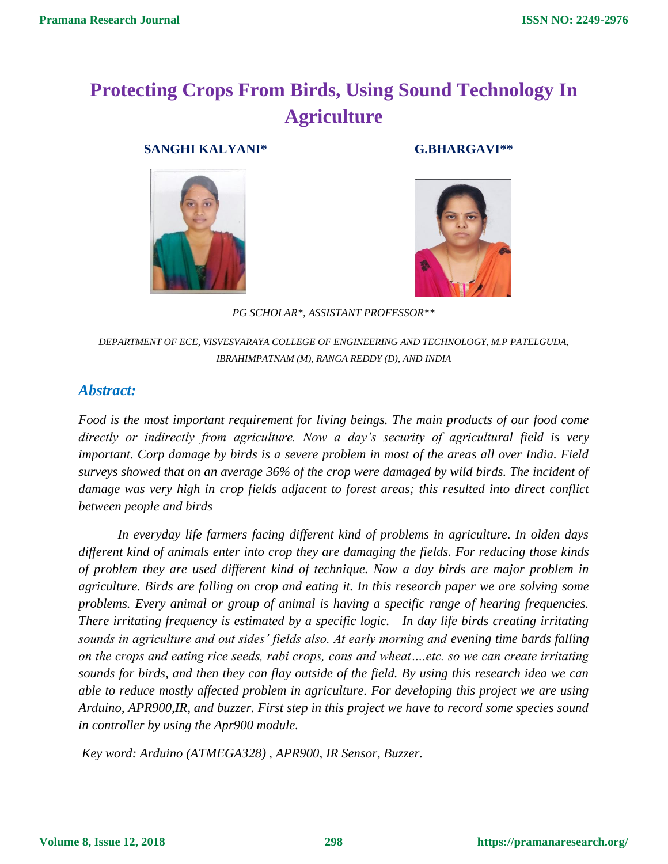# **Protecting Crops From Birds, Using Sound Technology In Agriculture**

 **SANGHI KALYANI\* G.BHARGAVI\*\***





*PG SCHOLAR\*, ASSISTANT PROFESSOR\*\**

*DEPARTMENT OF ECE, VISVESVARAYA COLLEGE OF ENGINEERING AND TECHNOLOGY, M.P PATELGUDA, IBRAHIMPATNAM (M), RANGA REDDY (D), AND INDIA*

# *Abstract:*

*Food is the most important requirement for living beings. The main products of our food come directly or indirectly from agriculture. Now a day's security of agricultural field is very important. Corp damage by birds is a severe problem in most of the areas all over India. Field surveys showed that on an average 36% of the crop were damaged by wild birds. The incident of damage was very high in crop fields adjacent to forest areas; this resulted into direct conflict between people and birds* 

*In everyday life farmers facing different kind of problems in agriculture. In olden days different kind of animals enter into crop they are damaging the fields. For reducing those kinds of problem they are used different kind of technique. Now a day birds are major problem in agriculture. Birds are falling on crop and eating it. In this research paper we are solving some problems. Every animal or group of animal is having a specific range of hearing frequencies. There irritating frequency is estimated by a specific logic. In day life birds creating irritating sounds in agriculture and out sides' fields also. At early morning and evening time bards falling on the crops and eating rice seeds, rabi crops, cons and wheat….etc. so we can create irritating sounds for birds, and then they can flay outside of the field. By using this research idea we can able to reduce mostly affected problem in agriculture. For developing this project we are using Arduino, APR900,IR, and buzzer. First step in this project we have to record some species sound in controller by using the Apr900 module.* 

*Key word: Arduino (ATMEGA328) , APR900, IR Sensor, Buzzer.*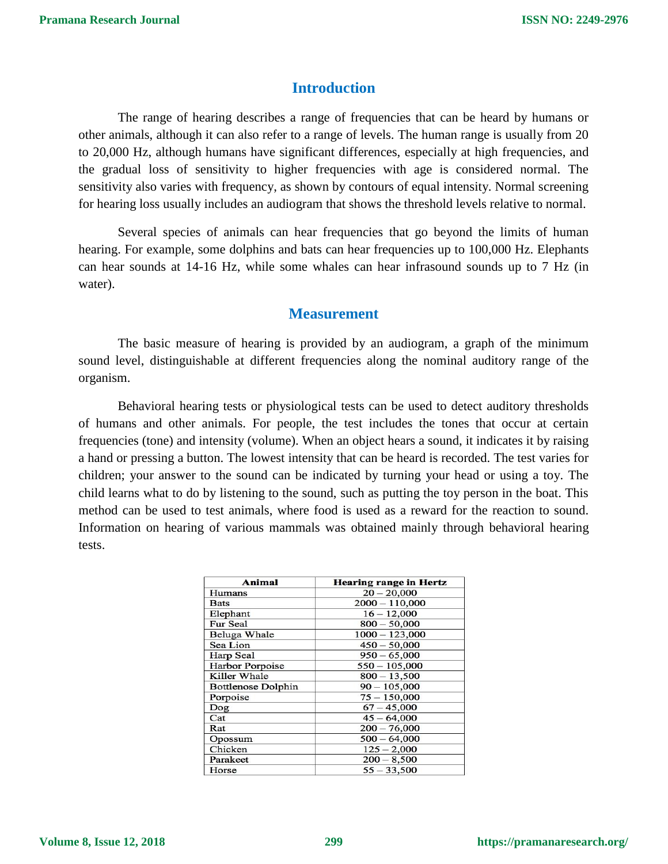# **Introduction**

The range of hearing describes a range of frequencies that can be heard by humans or other animals, although it can also refer to a range of levels. The human range is usually from 20 to 20,000 Hz, although humans have significant differences, especially at high frequencies, and the gradual loss of sensitivity to higher frequencies with age is considered normal. The sensitivity also varies with frequency, as shown by contours of equal intensity. Normal screening for hearing loss usually includes an audiogram that shows the threshold levels relative to normal.

Several species of animals can hear frequencies that go beyond the limits of human hearing. For example, some dolphins and bats can hear frequencies up to 100,000 Hz. Elephants can hear sounds at 14-16 Hz, while some whales can hear infrasound sounds up to 7 Hz (in water).

## **Measurement**

The basic measure of hearing is provided by an audiogram, a graph of the minimum sound level, distinguishable at different frequencies along the nominal auditory range of the organism.

Behavioral hearing tests or physiological tests can be used to detect auditory thresholds of humans and other animals. For people, the test includes the tones that occur at certain frequencies (tone) and intensity (volume). When an object hears a sound, it indicates it by raising a hand or pressing a button. The lowest intensity that can be heard is recorded. The test varies for children; your answer to the sound can be indicated by turning your head or using a toy. The child learns what to do by listening to the sound, such as putting the toy person in the boat. This method can be used to test animals, where food is used as a reward for the reaction to sound. Information on hearing of various mammals was obtained mainly through behavioral hearing tests.

| Animal                    | <b>Hearing range in Hertz</b> |
|---------------------------|-------------------------------|
| Humans                    | $20 - 20,000$                 |
| <b>Bats</b>               | $2000 - 110,000$              |
| Elephant                  | $16 - 12,000$                 |
| <b>Fur Seal</b>           | $800 - 50,000$                |
| Beluga Whale              | $1000 - 123,000$              |
| Sea Lion                  | $450 - 50,000$                |
| Harp Seal                 | $950 - 65,000$                |
| <b>Harbor Porpoise</b>    | $550 - 105,000$               |
| Killer Whale              | $800 - 13,500$                |
| <b>Bottlenose Dolphin</b> | $90 - 105,000$                |
| Porpoise                  | $75 - 150,000$                |
| Dog                       | $67 - 45,000$                 |
| Cat                       | $45 - 64,000$                 |
| Rat                       | $200 - 76,000$                |
| Opossum                   | $500 - 64,000$                |
| Chicken                   | $125 - 2,000$                 |
| Parakeet                  | $200 - 8,500$                 |
| Horse                     | $55 - 33,500$                 |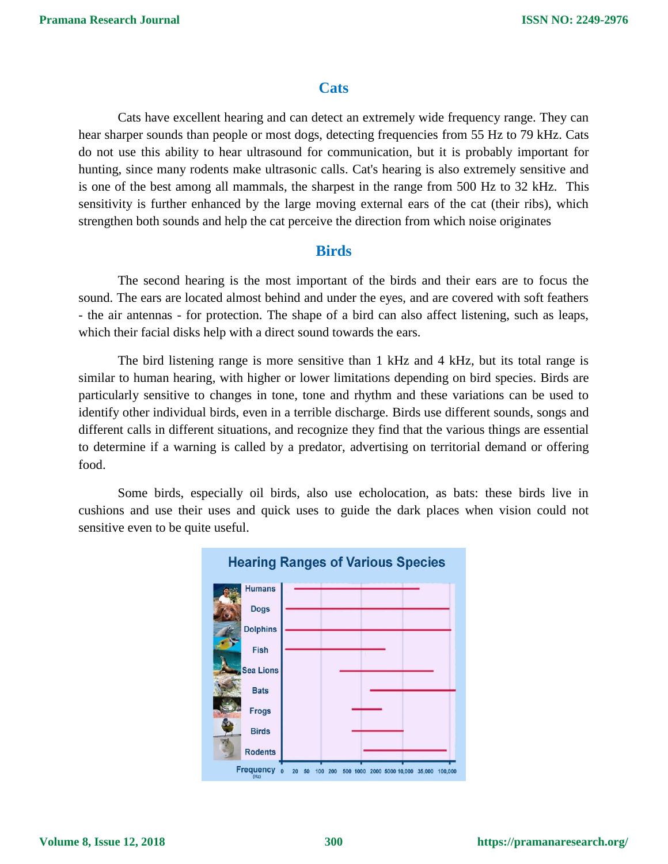# **Cats**

Cats have excellent hearing and can detect an extremely wide frequency range. They can hear sharper sounds than people or most dogs, detecting frequencies from 55 Hz to 79 kHz. Cats do not use this ability to hear ultrasound for communication, but it is probably important for hunting, since many rodents make ultrasonic calls. Cat's hearing is also extremely sensitive and is one of the best among all mammals, the sharpest in the range from 500 Hz to 32 kHz. This sensitivity is further enhanced by the large moving external ears of the cat (their ribs), which strengthen both sounds and help the cat perceive the direction from which noise originates

# **Birds**

The second hearing is the most important of the birds and their ears are to focus the sound. The ears are located almost behind and under the eyes, and are covered with soft feathers - the air antennas - for protection. The shape of a bird can also affect listening, such as leaps, which their facial disks help with a direct sound towards the ears.

The bird listening range is more sensitive than 1 kHz and 4 kHz, but its total range is similar to human hearing, with higher or lower limitations depending on bird species. Birds are particularly sensitive to changes in tone, tone and rhythm and these variations can be used to identify other individual birds, even in a terrible discharge. Birds use different sounds, songs and different calls in different situations, and recognize they find that the various things are essential to determine if a warning is called by a predator, advertising on territorial demand or offering food.

Some birds, especially oil birds, also use echolocation, as bats: these birds live in cushions and use their uses and quick uses to guide the dark places when vision could not sensitive even to be quite useful.

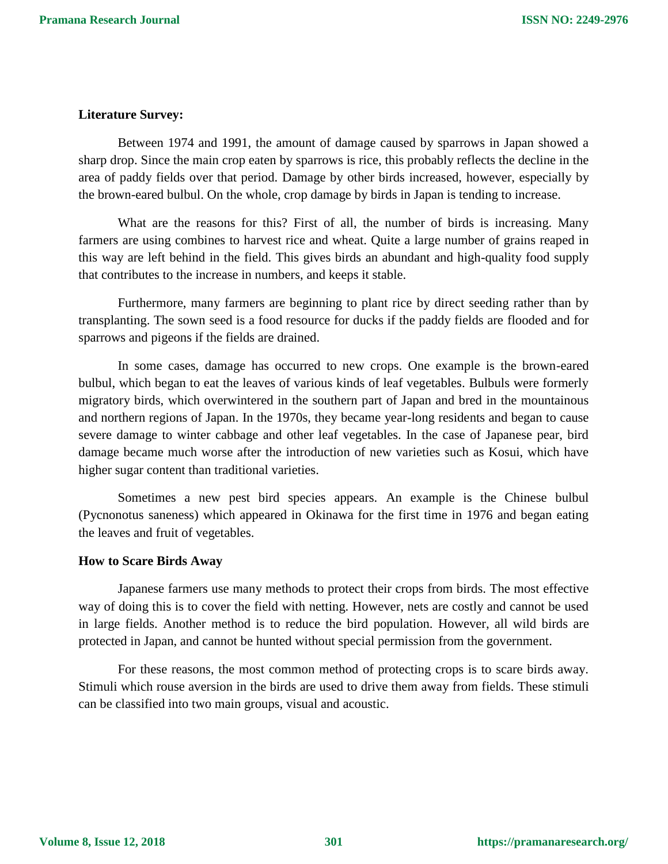#### **Literature Survey:**

Between 1974 and 1991, the amount of damage caused by sparrows in Japan showed a sharp drop. Since the main crop eaten by sparrows is rice, this probably reflects the decline in the area of paddy fields over that period. Damage by other birds increased, however, especially by the brown-eared bulbul. On the whole, crop damage by birds in Japan is tending to increase.

What are the reasons for this? First of all, the number of birds is increasing. Many farmers are using combines to harvest rice and wheat. Quite a large number of grains reaped in this way are left behind in the field. This gives birds an abundant and high-quality food supply that contributes to the increase in numbers, and keeps it stable.

Furthermore, many farmers are beginning to plant rice by direct seeding rather than by transplanting. The sown seed is a food resource for ducks if the paddy fields are flooded and for sparrows and pigeons if the fields are drained.

In some cases, damage has occurred to new crops. One example is the brown-eared bulbul, which began to eat the leaves of various kinds of leaf vegetables. Bulbuls were formerly migratory birds, which overwintered in the southern part of Japan and bred in the mountainous and northern regions of Japan. In the 1970s, they became year-long residents and began to cause severe damage to winter cabbage and other leaf vegetables. In the case of Japanese pear, bird damage became much worse after the introduction of new varieties such as Kosui, which have higher sugar content than traditional varieties.

Sometimes a new pest bird species appears. An example is the Chinese bulbul (Pycnonotus saneness) which appeared in Okinawa for the first time in 1976 and began eating the leaves and fruit of vegetables.

#### **How to Scare Birds Away**

Japanese farmers use many methods to protect their crops from birds. The most effective way of doing this is to cover the field with netting. However, nets are costly and cannot be used in large fields. Another method is to reduce the bird population. However, all wild birds are protected in Japan, and cannot be hunted without special permission from the government.

For these reasons, the most common method of protecting crops is to scare birds away. Stimuli which rouse aversion in the birds are used to drive them away from fields. These stimuli can be classified into two main groups, visual and acoustic.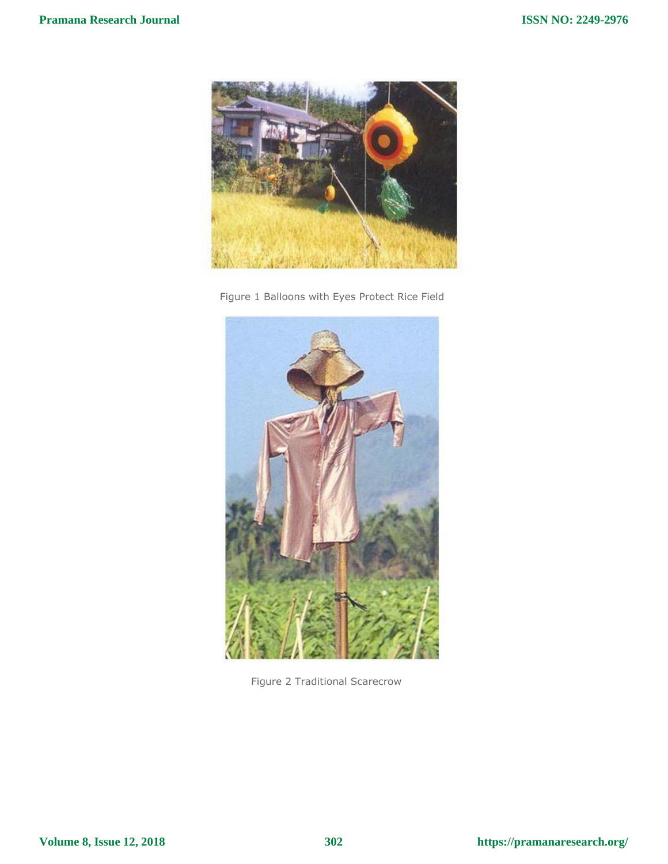





Figure 2 Traditional Scarecrow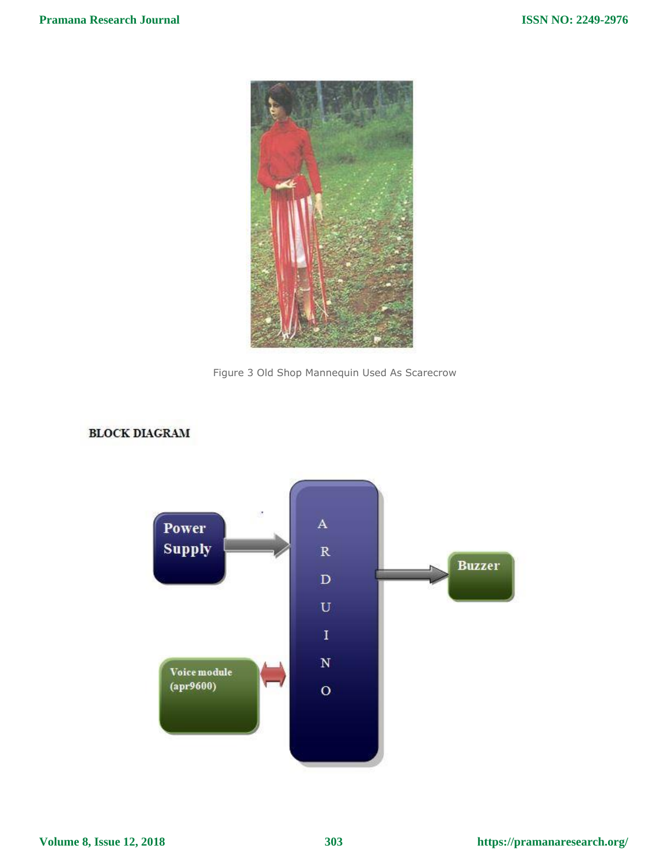



# **BLOCK DIAGRAM**



**Volume 8, Issue 12, 2018**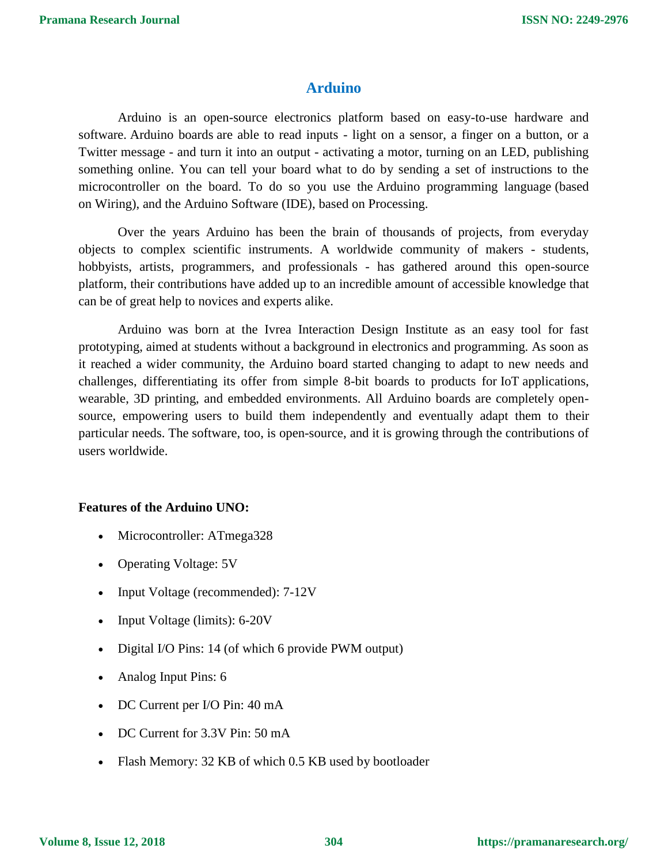# **Arduino**

Arduino is an open-source electronics platform based on easy-to-use hardware and software. [Arduino boards](https://www.arduino.cc/en/Main/Products) are able to read inputs - light on a sensor, a finger on a button, or a Twitter message - and turn it into an output - activating a motor, turning on an LED, publishing something online. You can tell your board what to do by sending a set of instructions to the microcontroller on the board. To do so you use the [Arduino programming language](https://www.arduino.cc/en/Reference/HomePage) (based on [Wiring\)](http://wiring.org.co/), and [the Arduino Software \(IDE\),](https://www.arduino.cc/en/Main/Software) based on [Processing.](https://processing.org/)

Over the years Arduino has been the brain of thousands of projects, from everyday objects to complex scientific instruments. A worldwide community of makers - students, hobbyists, artists, programmers, and professionals - has gathered around this open-source platform, their contributions have added up to an incredible amount of [accessible knowledge](http://forum.arduino.cc/) that can be of great help to novices and experts alike.

Arduino was born at the Ivrea Interaction Design Institute as an easy tool for fast prototyping, aimed at students without a background in electronics and programming. As soon as it reached a wider community, the Arduino board started changing to adapt to new needs and challenges, differentiating its offer from simple 8-bit boards to products for IoT applications, wearable, 3D printing, and embedded environments. All Arduino boards are completely opensource, empowering users to build them independently and eventually adapt them to their particular needs. The [software,](https://www.arduino.cc/en/Main/Software) too, is open-source, and it is growing through the contributions of users worldwide.

### **Features of the Arduino UNO:**

- Microcontroller: ATmega328
- Operating Voltage: 5V
- Input Voltage (recommended): 7-12V
- Input Voltage (limits): 6-20V
- Digital I/O Pins: 14 (of which 6 provide PWM output)
- Analog Input Pins: 6
- DC Current per I/O Pin: 40 mA
- DC Current for 3.3V Pin: 50 mA
- Flash Memory: 32 KB of which 0.5 KB used by bootloader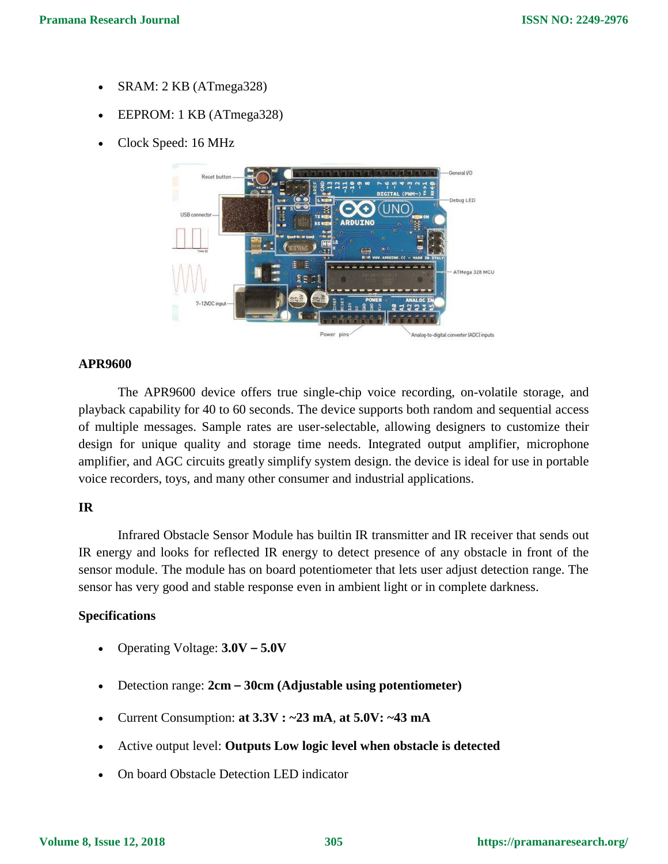- SRAM: 2 KB (ATmega328)
- EEPROM: 1 KB (ATmega328)
- Clock Speed: 16 MHz



### **APR9600**

The APR9600 device offers true single-chip voice recording, on-volatile storage, and playback capability for 40 to 60 seconds. The device supports both random and sequential access of multiple messages. Sample rates are user-selectable, allowing designers to customize their design for unique quality and storage time needs. Integrated output amplifier, microphone amplifier, and AGC circuits greatly simplify system design. the device is ideal for use in portable voice recorders, toys, and many other consumer and industrial applications.

### **IR**

Infrared Obstacle Sensor Module has builtin IR transmitter and IR receiver that sends out IR energy and looks for reflected IR energy to detect presence of any obstacle in front of the sensor module. The module has on board potentiometer that lets user adjust detection range. The sensor has very good and stable response even in ambient light or in complete darkness.

### **Specifications**

- Operating Voltage: **3.0V – 5.0V**
- Detection range: **2cm – 30cm (Adjustable using potentiometer)**
- Current Consumption: **at 3.3V : ~23 mA**, **at 5.0V: ~43 mA**
- Active output level: **Outputs Low logic level when obstacle is detected**
- On board Obstacle Detection LED indicator